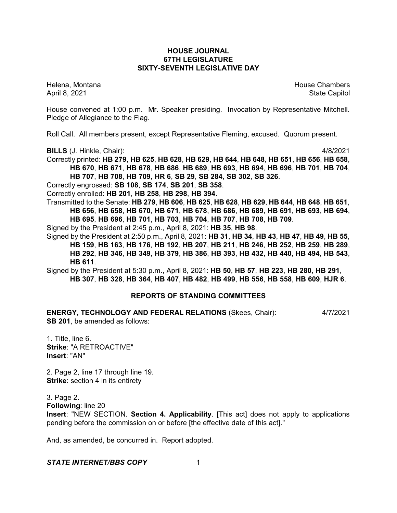# **HOUSE JOURNAL 67TH LEGISLATURE SIXTY-SEVENTH LEGISLATIVE DAY**

Helena, Montana House Chambers Chambers Chambers and House Chambers Chambers Chambers Chambers Chambers Chambers Chambers Chambers Chambers Chambers Chambers Chambers Chambers Chambers Chambers Chambers Chambers Chambers C April 8, 2021 **State Capitol** 

House convened at 1:00 p.m. Mr. Speaker presiding. Invocation by Representative Mitchell. Pledge of Allegiance to the Flag.

Roll Call. All members present, except Representative Fleming, excused. Quorum present.

**BILLS** (J. Hinkle, Chair): 4/8/2021

Correctly printed: **HB 279**, **HB 625**, **HB 628**, **HB 629**, **HB 644**, **HB 648**, **HB 651**, **HB 656**, **HB 658**, **HB 670**, **HB 671**, **HB 678**, **HB 686**, **HB 689**, **HB 693**, **HB 694**, **HB 696**, **HB 701**, **HB 704**, **HB 707**, **HB 708**, **HB 709**, **HR 6**, **SB 29**, **SB 284**, **SB 302**, **SB 326**.

Correctly engrossed: **SB 108**, **SB 174**, **SB 201**, **SB 358**.

Correctly enrolled: **HB 201**, **HB 258**, **HB 298**, **HB 394**.

Transmitted to the Senate: **HB 279**, **HB 606**, **HB 625**, **HB 628**, **HB 629**, **HB 644**, **HB 648**, **HB 651**, **HB 656**, **HB 658**, **HB 670**, **HB 671**, **HB 678**, **HB 686**, **HB 689**, **HB 691**, **HB 693**, **HB 694**, **HB 695**, **HB 696**, **HB 701**, **HB 703**, **HB 704**, **HB 707**, **HB 708**, **HB 709**.

Signed by the President at 2:45 p.m., April 8, 2021: **HB 35**, **HB 98**.

Signed by the President at 2:50 p.m., April 8, 2021: **HB 31**, **HB 34**, **HB 43**, **HB 47**, **HB 49**, **HB 55**, **HB 159**, **HB 163**, **HB 176**, **HB 192**, **HB 207**, **HB 211**, **HB 246**, **HB 252**, **HB 259**, **HB 289**, **HB 292**, **HB 346**, **HB 349**, **HB 379**, **HB 386**, **HB 393**, **HB 432**, **HB 440**, **HB 494**, **HB 543**, **HB 611**.

Signed by the President at 5:30 p.m., April 8, 2021: **HB 50**, **HB 57**, **HB 223**, **HB 280**, **HB 291**, **HB 307**, **HB 328**, **HB 364**, **HB 407**, **HB 482**, **HB 499**, **HB 556**, **HB 558**, **HB 609**, **HJR 6**.

# **REPORTS OF STANDING COMMITTEES**

**ENERGY, TECHNOLOGY AND FEDERAL RELATIONS** (Skees, Chair): 4/7/2021 **SB 201**, be amended as follows:

1. Title, line 6. **Strike**: "A RETROACTIVE" **Insert**: "AN"

2. Page 2, line 17 through line 19. **Strike:** section 4 in its entirety

3. Page 2.

**Following**: line 20

**Insert**: "NEW SECTION. **Section 4. Applicability**. [This act] does not apply to applications pending before the commission on or before [the effective date of this act]."

And, as amended, be concurred in. Report adopted.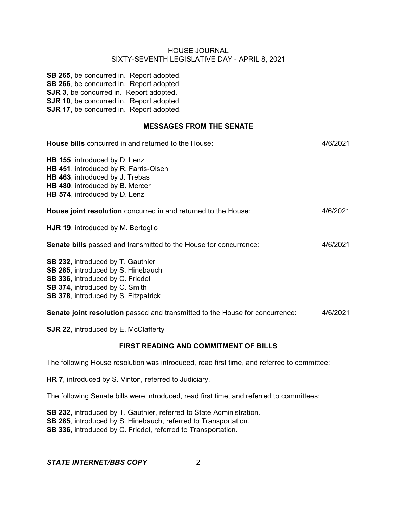**SB 265**, be concurred in. Report adopted. **SB 266**, be concurred in. Report adopted. **SJR 3**, be concurred in. Report adopted. **SJR 10**, be concurred in. Report adopted. **SJR 17**, be concurred in. Report adopted.

# **MESSAGES FROM THE SENATE**

| House bills concurred in and returned to the House:                                                                                                                                                        | 4/6/2021 |
|------------------------------------------------------------------------------------------------------------------------------------------------------------------------------------------------------------|----------|
| HB 155, introduced by D. Lenz<br>HB 451, introduced by R. Farris-Olsen<br>HB 463, introduced by J. Trebas<br>HB 480, introduced by B. Mercer<br>HB 574, introduced by D. Lenz                              |          |
| House joint resolution concurred in and returned to the House:                                                                                                                                             | 4/6/2021 |
| HJR 19, introduced by M. Bertoglio                                                                                                                                                                         |          |
| <b>Senate bills</b> passed and transmitted to the House for concurrence:                                                                                                                                   | 4/6/2021 |
| SB 232, introduced by T. Gauthier<br>SB 285, introduced by S. Hinebauch<br><b>SB 336, introduced by C. Friedel</b><br><b>SB 374, introduced by C. Smith</b><br><b>SB 378, introduced by S. Fitzpatrick</b> |          |
| Senate joint resolution passed and transmitted to the House for concurrence:                                                                                                                               | 4/6/2021 |

**SJR 22, introduced by E. McClafferty** 

# **FIRST READING AND COMMITMENT OF BILLS**

The following House resolution was introduced, read first time, and referred to committee:

**HR 7**, introduced by S. Vinton, referred to Judiciary.

The following Senate bills were introduced, read first time, and referred to committees:

**SB 232**, introduced by T. Gauthier, referred to State Administration. **SB 285**, introduced by S. Hinebauch, referred to Transportation.

**SB 336**, introduced by C. Friedel, referred to Transportation.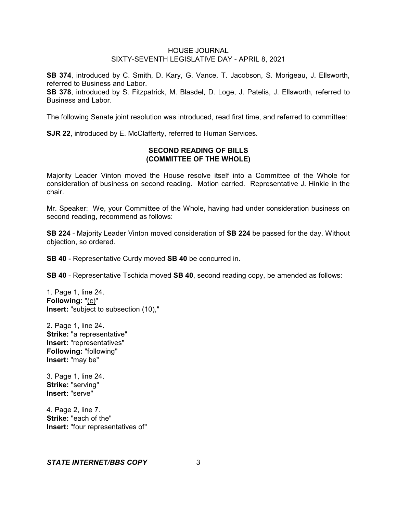**SB 374**, introduced by C. Smith, D. Kary, G. Vance, T. Jacobson, S. Morigeau, J. Ellsworth, referred to Business and Labor.

**SB 378**, introduced by S. Fitzpatrick, M. Blasdel, D. Loge, J. Patelis, J. Ellsworth, referred to Business and Labor.

The following Senate joint resolution was introduced, read first time, and referred to committee:

**SJR 22, introduced by E. McClafferty, referred to Human Services.** 

# **SECOND READING OF BILLS (COMMITTEE OF THE WHOLE)**

Majority Leader Vinton moved the House resolve itself into a Committee of the Whole for consideration of business on second reading. Motion carried. Representative J. Hinkle in the chair.

Mr. Speaker: We, your Committee of the Whole, having had under consideration business on second reading, recommend as follows:

**SB 224** - Majority Leader Vinton moved consideration of **SB 224** be passed for the day. Without objection, so ordered.

**SB 40** - Representative Curdy moved **SB 40** be concurred in.

**SB 40** - Representative Tschida moved **SB 40**, second reading copy, be amended as follows:

1. Page 1, line 24. **Following:** "(c)" **Insert:** "subject to subsection (10),"

2. Page 1, line 24. **Strike:** "a representative" **Insert:** "representatives" **Following:** "following" **Insert:** "may be"

3. Page 1, line 24. **Strike:** "serving" **Insert:** "serve"

4. Page 2, line 7. **Strike:** "each of the" **Insert:** "four representatives of"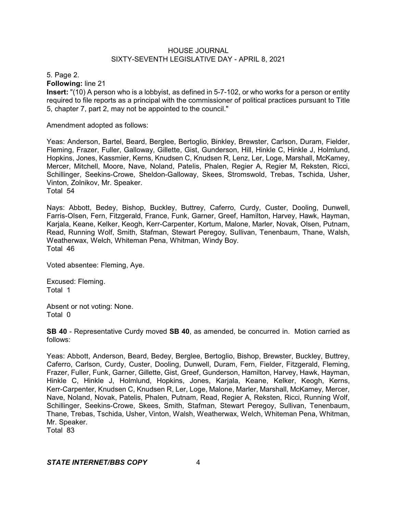5. Page 2.

**Following:** line 21

**Insert:** "(10) A person who is a lobbyist, as defined in 5-7-102, or who works for a person or entity required to file reports as a principal with the commissioner of political practices pursuant to Title 5, chapter 7, part 2, may not be appointed to the council."

Amendment adopted as follows:

Yeas: Anderson, Bartel, Beard, Berglee, Bertoglio, Binkley, Brewster, Carlson, Duram, Fielder, Fleming, Frazer, Fuller, Galloway, Gillette, Gist, Gunderson, Hill, Hinkle C, Hinkle J, Holmlund, Hopkins, Jones, Kassmier, Kerns, Knudsen C, Knudsen R, Lenz, Ler, Loge, Marshall, McKamey, Mercer, Mitchell, Moore, Nave, Noland, Patelis, Phalen, Regier A, Regier M, Reksten, Ricci, Schillinger, Seekins-Crowe, Sheldon-Galloway, Skees, Stromswold, Trebas, Tschida, Usher, Vinton, Zolnikov, Mr. Speaker. Total 54

Nays: Abbott, Bedey, Bishop, Buckley, Buttrey, Caferro, Curdy, Custer, Dooling, Dunwell, Farris-Olsen, Fern, Fitzgerald, France, Funk, Garner, Greef, Hamilton, Harvey, Hawk, Hayman, Karjala, Keane, Kelker, Keogh, Kerr-Carpenter, Kortum, Malone, Marler, Novak, Olsen, Putnam, Read, Running Wolf, Smith, Stafman, Stewart Peregoy, Sullivan, Tenenbaum, Thane, Walsh, Weatherwax, Welch, Whiteman Pena, Whitman, Windy Boy. Total 46

Voted absentee: Fleming, Aye.

Excused: Fleming. Total 1

Absent or not voting: None. Total 0

**SB 40** - Representative Curdy moved **SB 40**, as amended, be concurred in. Motion carried as follows:

Yeas: Abbott, Anderson, Beard, Bedey, Berglee, Bertoglio, Bishop, Brewster, Buckley, Buttrey, Caferro, Carlson, Curdy, Custer, Dooling, Dunwell, Duram, Fern, Fielder, Fitzgerald, Fleming, Frazer, Fuller, Funk, Garner, Gillette, Gist, Greef, Gunderson, Hamilton, Harvey, Hawk, Hayman, Hinkle C, Hinkle J, Holmlund, Hopkins, Jones, Karjala, Keane, Kelker, Keogh, Kerns, Kerr-Carpenter, Knudsen C, Knudsen R, Ler, Loge, Malone, Marler, Marshall, McKamey, Mercer, Nave, Noland, Novak, Patelis, Phalen, Putnam, Read, Regier A, Reksten, Ricci, Running Wolf, Schillinger, Seekins-Crowe, Skees, Smith, Stafman, Stewart Peregoy, Sullivan, Tenenbaum, Thane, Trebas, Tschida, Usher, Vinton, Walsh, Weatherwax, Welch, Whiteman Pena, Whitman, Mr. Speaker.

Total 83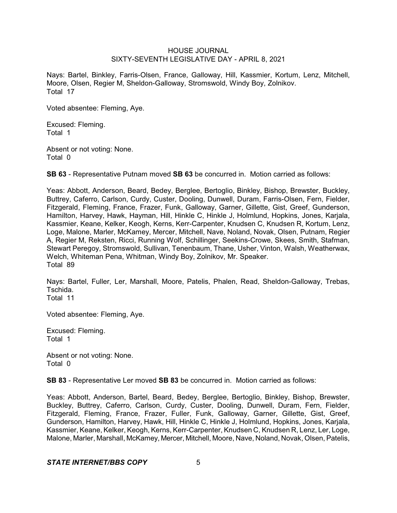Nays: Bartel, Binkley, Farris-Olsen, France, Galloway, Hill, Kassmier, Kortum, Lenz, Mitchell, Moore, Olsen, Regier M, Sheldon-Galloway, Stromswold, Windy Boy, Zolnikov. Total 17

Voted absentee: Fleming, Aye.

Excused: Fleming. Total 1

Absent or not voting: None. Total 0

**SB 63** - Representative Putnam moved **SB 63** be concurred in. Motion carried as follows:

Yeas: Abbott, Anderson, Beard, Bedey, Berglee, Bertoglio, Binkley, Bishop, Brewster, Buckley, Buttrey, Caferro, Carlson, Curdy, Custer, Dooling, Dunwell, Duram, Farris-Olsen, Fern, Fielder, Fitzgerald, Fleming, France, Frazer, Funk, Galloway, Garner, Gillette, Gist, Greef, Gunderson, Hamilton, Harvey, Hawk, Hayman, Hill, Hinkle C, Hinkle J, Holmlund, Hopkins, Jones, Karjala, Kassmier, Keane, Kelker, Keogh, Kerns, Kerr-Carpenter, Knudsen C, Knudsen R, Kortum, Lenz, Loge, Malone, Marler, McKamey, Mercer, Mitchell, Nave, Noland, Novak, Olsen, Putnam, Regier A, Regier M, Reksten, Ricci, Running Wolf, Schillinger, Seekins-Crowe, Skees, Smith, Stafman, Stewart Peregoy, Stromswold, Sullivan, Tenenbaum, Thane, Usher, Vinton, Walsh, Weatherwax, Welch, Whiteman Pena, Whitman, Windy Boy, Zolnikov, Mr. Speaker. Total 89

Nays: Bartel, Fuller, Ler, Marshall, Moore, Patelis, Phalen, Read, Sheldon-Galloway, Trebas, Tschida.

Total 11

Voted absentee: Fleming, Aye.

Excused: Fleming. Total 1

Absent or not voting: None. Total 0

**SB 83** - Representative Ler moved **SB 83** be concurred in. Motion carried as follows:

Yeas: Abbott, Anderson, Bartel, Beard, Bedey, Berglee, Bertoglio, Binkley, Bishop, Brewster, Buckley, Buttrey, Caferro, Carlson, Curdy, Custer, Dooling, Dunwell, Duram, Fern, Fielder, Fitzgerald, Fleming, France, Frazer, Fuller, Funk, Galloway, Garner, Gillette, Gist, Greef, Gunderson, Hamilton, Harvey, Hawk, Hill, Hinkle C, Hinkle J, Holmlund, Hopkins, Jones, Karjala, Kassmier, Keane, Kelker, Keogh, Kerns, Kerr-Carpenter, Knudsen C, Knudsen R, Lenz, Ler, Loge, Malone, Marler, Marshall, McKamey, Mercer, Mitchell, Moore, Nave, Noland, Novak, Olsen, Patelis,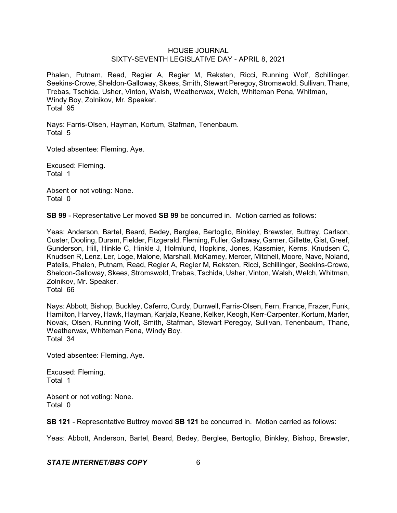Phalen, Putnam, Read, Regier A, Regier M, Reksten, Ricci, Running Wolf, Schillinger, Seekins-Crowe, Sheldon-Galloway, Skees, Smith, Stewart Peregoy, Stromswold, Sullivan, Thane, Trebas, Tschida, Usher, Vinton, Walsh, Weatherwax, Welch, Whiteman Pena, Whitman, Windy Boy, Zolnikov, Mr. Speaker. Total 95

Nays: Farris-Olsen, Hayman, Kortum, Stafman, Tenenbaum. Total 5

Voted absentee: Fleming, Aye.

Excused: Fleming. Total 1

Absent or not voting: None. Total 0

**SB 99** - Representative Ler moved **SB 99** be concurred in. Motion carried as follows:

Yeas: Anderson, Bartel, Beard, Bedey, Berglee, Bertoglio, Binkley, Brewster, Buttrey, Carlson, Custer, Dooling, Duram, Fielder, Fitzgerald, Fleming, Fuller, Galloway, Garner, Gillette, Gist, Greef, Gunderson, Hill, Hinkle C, Hinkle J, Holmlund, Hopkins, Jones, Kassmier, Kerns, Knudsen C, Knudsen R, Lenz, Ler, Loge, Malone, Marshall, McKamey, Mercer, Mitchell, Moore, Nave, Noland, Patelis, Phalen, Putnam, Read, Regier A, Regier M, Reksten, Ricci, Schillinger, Seekins-Crowe, Sheldon-Galloway, Skees, Stromswold, Trebas, Tschida, Usher, Vinton, Walsh, Welch, Whitman, Zolnikov, Mr. Speaker.

Total 66

Nays: Abbott, Bishop, Buckley, Caferro, Curdy, Dunwell, Farris-Olsen, Fern, France, Frazer, Funk, Hamilton, Harvey, Hawk, Hayman, Karjala, Keane, Kelker, Keogh, Kerr-Carpenter, Kortum, Marler, Novak, Olsen, Running Wolf, Smith, Stafman, Stewart Peregoy, Sullivan, Tenenbaum, Thane, Weatherwax, Whiteman Pena, Windy Boy. Total 34

Voted absentee: Fleming, Aye.

Excused: Fleming. Total 1

Absent or not voting: None. Total 0

**SB 121** - Representative Buttrey moved **SB 121** be concurred in. Motion carried as follows:

Yeas: Abbott, Anderson, Bartel, Beard, Bedey, Berglee, Bertoglio, Binkley, Bishop, Brewster,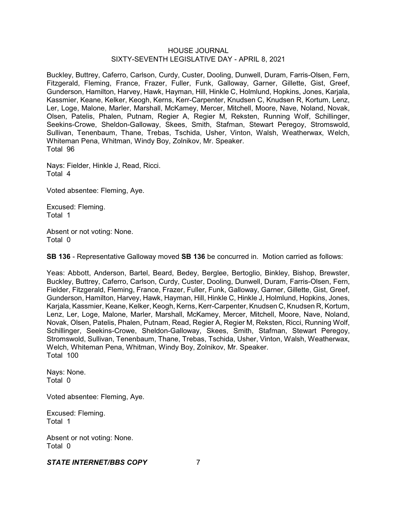Buckley, Buttrey, Caferro, Carlson, Curdy, Custer, Dooling, Dunwell, Duram, Farris-Olsen, Fern, Fitzgerald, Fleming, France, Frazer, Fuller, Funk, Galloway, Garner, Gillette, Gist, Greef, Gunderson, Hamilton, Harvey, Hawk, Hayman, Hill, Hinkle C, Holmlund, Hopkins, Jones, Karjala, Kassmier, Keane, Kelker, Keogh, Kerns, Kerr-Carpenter, Knudsen C, Knudsen R, Kortum, Lenz, Ler, Loge, Malone, Marler, Marshall, McKamey, Mercer, Mitchell, Moore, Nave, Noland, Novak, Olsen, Patelis, Phalen, Putnam, Regier A, Regier M, Reksten, Running Wolf, Schillinger, Seekins-Crowe, Sheldon-Galloway, Skees, Smith, Stafman, Stewart Peregoy, Stromswold, Sullivan, Tenenbaum, Thane, Trebas, Tschida, Usher, Vinton, Walsh, Weatherwax, Welch, Whiteman Pena, Whitman, Windy Boy, Zolnikov, Mr. Speaker. Total 96

Nays: Fielder, Hinkle J, Read, Ricci. Total 4

Voted absentee: Fleming, Aye.

Excused: Fleming. Total 1

Absent or not voting: None. Total 0

**SB 136** - Representative Galloway moved **SB 136** be concurred in. Motion carried as follows:

Yeas: Abbott, Anderson, Bartel, Beard, Bedey, Berglee, Bertoglio, Binkley, Bishop, Brewster, Buckley, Buttrey, Caferro, Carlson, Curdy, Custer, Dooling, Dunwell, Duram, Farris-Olsen, Fern, Fielder, Fitzgerald, Fleming, France, Frazer, Fuller, Funk, Galloway, Garner, Gillette, Gist, Greef, Gunderson, Hamilton, Harvey, Hawk, Hayman, Hill, Hinkle C, Hinkle J, Holmlund, Hopkins, Jones, Karjala, Kassmier, Keane, Kelker, Keogh, Kerns, Kerr-Carpenter, Knudsen C, Knudsen R, Kortum, Lenz, Ler, Loge, Malone, Marler, Marshall, McKamey, Mercer, Mitchell, Moore, Nave, Noland, Novak, Olsen, Patelis, Phalen, Putnam, Read, Regier A, Regier M, Reksten, Ricci, Running Wolf, Schillinger, Seekins-Crowe, Sheldon-Galloway, Skees, Smith, Stafman, Stewart Peregoy, Stromswold, Sullivan, Tenenbaum, Thane, Trebas, Tschida, Usher, Vinton, Walsh, Weatherwax, Welch, Whiteman Pena, Whitman, Windy Boy, Zolnikov, Mr. Speaker. Total 100

Nays: None. Total 0

Voted absentee: Fleming, Aye.

Excused: Fleming. Total 1

Absent or not voting: None. Total 0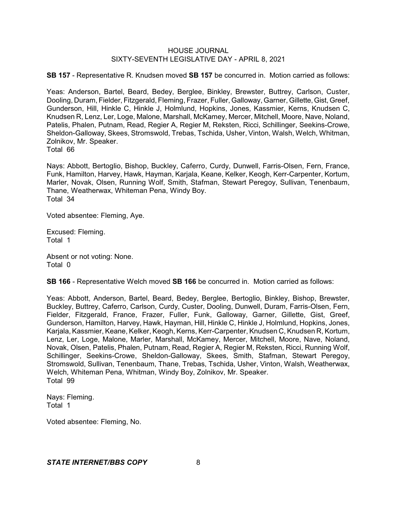**SB 157** - Representative R. Knudsen moved **SB 157** be concurred in. Motion carried as follows:

Yeas: Anderson, Bartel, Beard, Bedey, Berglee, Binkley, Brewster, Buttrey, Carlson, Custer, Dooling, Duram, Fielder, Fitzgerald, Fleming, Frazer, Fuller, Galloway, Garner, Gillette,Gist, Greef, Gunderson, Hill, Hinkle C, Hinkle J, Holmlund, Hopkins, Jones, Kassmier, Kerns, Knudsen C, Knudsen R, Lenz, Ler, Loge, Malone, Marshall, McKamey, Mercer, Mitchell, Moore, Nave, Noland, Patelis, Phalen, Putnam, Read, Regier A, Regier M, Reksten, Ricci, Schillinger, Seekins-Crowe, Sheldon-Galloway, Skees, Stromswold, Trebas, Tschida, Usher, Vinton, Walsh, Welch, Whitman, Zolnikov, Mr. Speaker.

Total 66

Nays: Abbott, Bertoglio, Bishop, Buckley, Caferro, Curdy, Dunwell, Farris-Olsen, Fern, France, Funk, Hamilton, Harvey, Hawk, Hayman, Karjala, Keane, Kelker, Keogh, Kerr-Carpenter, Kortum, Marler, Novak, Olsen, Running Wolf, Smith, Stafman, Stewart Peregoy, Sullivan, Tenenbaum, Thane, Weatherwax, Whiteman Pena, Windy Boy. Total 34

Voted absentee: Fleming, Aye.

Excused: Fleming. Total 1

Absent or not voting: None. Total 0

**SB 166** - Representative Welch moved **SB 166** be concurred in. Motion carried as follows:

Yeas: Abbott, Anderson, Bartel, Beard, Bedey, Berglee, Bertoglio, Binkley, Bishop, Brewster, Buckley, Buttrey, Caferro, Carlson, Curdy, Custer, Dooling, Dunwell, Duram, Farris-Olsen, Fern, Fielder, Fitzgerald, France, Frazer, Fuller, Funk, Galloway, Garner, Gillette, Gist, Greef, Gunderson, Hamilton, Harvey, Hawk, Hayman, Hill, Hinkle C, Hinkle J, Holmlund, Hopkins, Jones, Karjala, Kassmier, Keane, Kelker, Keogh, Kerns, Kerr-Carpenter, Knudsen C, Knudsen R, Kortum, Lenz, Ler, Loge, Malone, Marler, Marshall, McKamey, Mercer, Mitchell, Moore, Nave, Noland, Novak, Olsen, Patelis, Phalen, Putnam, Read, Regier A, Regier M, Reksten, Ricci, Running Wolf, Schillinger, Seekins-Crowe, Sheldon-Galloway, Skees, Smith, Stafman, Stewart Peregoy, Stromswold, Sullivan, Tenenbaum, Thane, Trebas, Tschida, Usher, Vinton, Walsh, Weatherwax, Welch, Whiteman Pena, Whitman, Windy Boy, Zolnikov, Mr. Speaker. Total 99

Nays: Fleming. Total 1

Voted absentee: Fleming, No.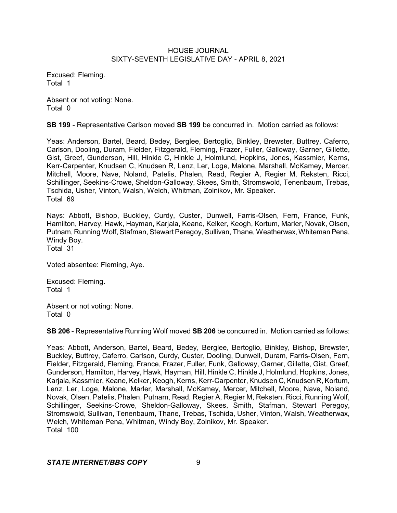Excused: Fleming. Total 1

Absent or not voting: None. Total 0

**SB 199** - Representative Carlson moved **SB 199** be concurred in. Motion carried as follows:

Yeas: Anderson, Bartel, Beard, Bedey, Berglee, Bertoglio, Binkley, Brewster, Buttrey, Caferro, Carlson, Dooling, Duram, Fielder, Fitzgerald, Fleming, Frazer, Fuller, Galloway, Garner, Gillette, Gist, Greef, Gunderson, Hill, Hinkle C, Hinkle J, Holmlund, Hopkins, Jones, Kassmier, Kerns, Kerr-Carpenter, Knudsen C, Knudsen R, Lenz, Ler, Loge, Malone, Marshall, McKamey, Mercer, Mitchell, Moore, Nave, Noland, Patelis, Phalen, Read, Regier A, Regier M, Reksten, Ricci, Schillinger, Seekins-Crowe, Sheldon-Galloway, Skees, Smith, Stromswold, Tenenbaum, Trebas, Tschida, Usher, Vinton, Walsh, Welch, Whitman, Zolnikov, Mr. Speaker. Total 69

Nays: Abbott, Bishop, Buckley, Curdy, Custer, Dunwell, Farris-Olsen, Fern, France, Funk, Hamilton, Harvey, Hawk, Hayman, Karjala, Keane, Kelker, Keogh, Kortum, Marler, Novak, Olsen, Putnam, Running Wolf, Stafman, Stewart Peregoy, Sullivan, Thane, Weatherwax, Whiteman Pena, Windy Boy.

Total 31

Voted absentee: Fleming, Aye.

Excused: Fleming. Total 1

Absent or not voting: None. Total 0

**SB 206** - Representative Running Wolf moved **SB 206** be concurred in. Motion carried as follows:

Yeas: Abbott, Anderson, Bartel, Beard, Bedey, Berglee, Bertoglio, Binkley, Bishop, Brewster, Buckley, Buttrey, Caferro, Carlson, Curdy, Custer, Dooling, Dunwell, Duram, Farris-Olsen, Fern, Fielder, Fitzgerald, Fleming, France, Frazer, Fuller, Funk, Galloway, Garner, Gillette, Gist, Greef, Gunderson, Hamilton, Harvey, Hawk, Hayman, Hill, Hinkle C, Hinkle J, Holmlund, Hopkins, Jones, Karjala, Kassmier, Keane, Kelker, Keogh, Kerns, Kerr-Carpenter, Knudsen C, Knudsen R, Kortum, Lenz, Ler, Loge, Malone, Marler, Marshall, McKamey, Mercer, Mitchell, Moore, Nave, Noland, Novak, Olsen, Patelis, Phalen, Putnam, Read, Regier A, Regier M, Reksten, Ricci, Running Wolf, Schillinger, Seekins-Crowe, Sheldon-Galloway, Skees, Smith, Stafman, Stewart Peregoy, Stromswold, Sullivan, Tenenbaum, Thane, Trebas, Tschida, Usher, Vinton, Walsh, Weatherwax, Welch, Whiteman Pena, Whitman, Windy Boy, Zolnikov, Mr. Speaker. Total 100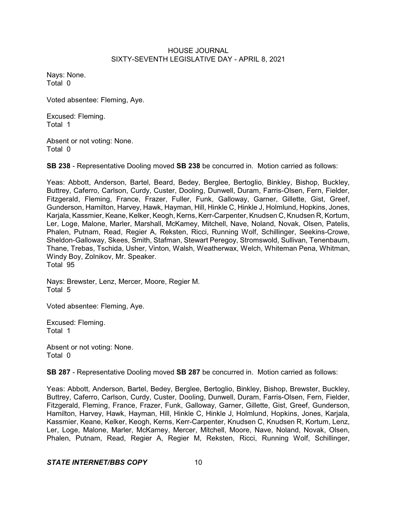Nays: None. Total 0

Voted absentee: Fleming, Aye.

Excused: Fleming. Total 1

Absent or not voting: None. Total 0

**SB 238** - Representative Dooling moved **SB 238** be concurred in. Motion carried as follows:

Yeas: Abbott, Anderson, Bartel, Beard, Bedey, Berglee, Bertoglio, Binkley, Bishop, Buckley, Buttrey, Caferro, Carlson, Curdy, Custer, Dooling, Dunwell, Duram, Farris-Olsen, Fern, Fielder, Fitzgerald, Fleming, France, Frazer, Fuller, Funk, Galloway, Garner, Gillette, Gist, Greef, Gunderson, Hamilton, Harvey, Hawk, Hayman, Hill, Hinkle C, Hinkle J, Holmlund, Hopkins, Jones, Karjala, Kassmier, Keane, Kelker, Keogh, Kerns, Kerr-Carpenter, Knudsen C, Knudsen R, Kortum, Ler, Loge, Malone, Marler, Marshall, McKamey, Mitchell, Nave, Noland, Novak, Olsen, Patelis, Phalen, Putnam, Read, Regier A, Reksten, Ricci, Running Wolf, Schillinger, Seekins-Crowe, Sheldon-Galloway, Skees, Smith, Stafman, Stewart Peregoy, Stromswold, Sullivan, Tenenbaum, Thane, Trebas, Tschida, Usher, Vinton, Walsh, Weatherwax, Welch, Whiteman Pena, Whitman, Windy Boy, Zolnikov, Mr. Speaker. Total 95

Nays: Brewster, Lenz, Mercer, Moore, Regier M. Total 5

Voted absentee: Fleming, Aye.

Excused: Fleming. Total 1

Absent or not voting: None. Total 0

**SB 287** - Representative Dooling moved **SB 287** be concurred in. Motion carried as follows:

Yeas: Abbott, Anderson, Bartel, Bedey, Berglee, Bertoglio, Binkley, Bishop, Brewster, Buckley, Buttrey, Caferro, Carlson, Curdy, Custer, Dooling, Dunwell, Duram, Farris-Olsen, Fern, Fielder, Fitzgerald, Fleming, France, Frazer, Funk, Galloway, Garner, Gillette, Gist, Greef, Gunderson, Hamilton, Harvey, Hawk, Hayman, Hill, Hinkle C, Hinkle J, Holmlund, Hopkins, Jones, Karjala, Kassmier, Keane, Kelker, Keogh, Kerns, Kerr-Carpenter, Knudsen C, Knudsen R, Kortum, Lenz, Ler, Loge, Malone, Marler, McKamey, Mercer, Mitchell, Moore, Nave, Noland, Novak, Olsen, Phalen, Putnam, Read, Regier A, Regier M, Reksten, Ricci, Running Wolf, Schillinger,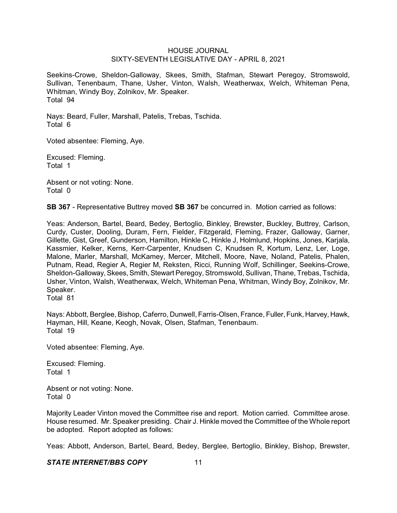Seekins-Crowe, Sheldon-Galloway, Skees, Smith, Stafman, Stewart Peregoy, Stromswold, Sullivan, Tenenbaum, Thane, Usher, Vinton, Walsh, Weatherwax, Welch, Whiteman Pena, Whitman, Windy Boy, Zolnikov, Mr. Speaker. Total 94

Nays: Beard, Fuller, Marshall, Patelis, Trebas, Tschida. Total 6

Voted absentee: Fleming, Aye.

Excused: Fleming. Total 1

Absent or not voting: None. Total 0

**SB 367** - Representative Buttrey moved **SB 367** be concurred in. Motion carried as follows:

Yeas: Anderson, Bartel, Beard, Bedey, Bertoglio, Binkley, Brewster, Buckley, Buttrey, Carlson, Curdy, Custer, Dooling, Duram, Fern, Fielder, Fitzgerald, Fleming, Frazer, Galloway, Garner, Gillette, Gist, Greef, Gunderson, Hamilton, Hinkle C, Hinkle J, Holmlund, Hopkins, Jones, Karjala, Kassmier, Kelker, Kerns, Kerr-Carpenter, Knudsen C, Knudsen R, Kortum, Lenz, Ler, Loge, Malone, Marler, Marshall, McKamey, Mercer, Mitchell, Moore, Nave, Noland, Patelis, Phalen, Putnam, Read, Regier A, Regier M, Reksten, Ricci, Running Wolf, Schillinger, Seekins-Crowe, Sheldon-Galloway, Skees, Smith, Stewart Peregoy, Stromswold, Sullivan, Thane, Trebas, Tschida, Usher, Vinton, Walsh, Weatherwax, Welch, Whiteman Pena, Whitman, Windy Boy, Zolnikov, Mr. Speaker.

Total 81

Nays: Abbott, Berglee, Bishop, Caferro, Dunwell, Farris-Olsen, France, Fuller, Funk, Harvey, Hawk, Hayman, Hill, Keane, Keogh, Novak, Olsen, Stafman, Tenenbaum. Total 19

Voted absentee: Fleming, Aye.

Excused: Fleming. Total 1

Absent or not voting: None. Total 0

Majority Leader Vinton moved the Committee rise and report. Motion carried. Committee arose. House resumed. Mr. Speaker presiding. Chair J. Hinkle moved the Committee of the Whole report be adopted. Report adopted as follows:

Yeas: Abbott, Anderson, Bartel, Beard, Bedey, Berglee, Bertoglio, Binkley, Bishop, Brewster,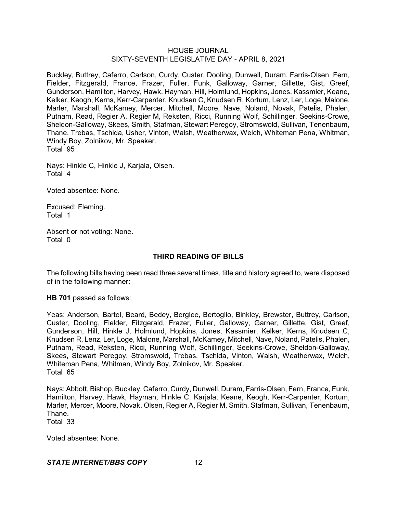Buckley, Buttrey, Caferro, Carlson, Curdy, Custer, Dooling, Dunwell, Duram, Farris-Olsen, Fern, Fielder, Fitzgerald, France, Frazer, Fuller, Funk, Galloway, Garner, Gillette, Gist, Greef, Gunderson, Hamilton, Harvey, Hawk, Hayman, Hill, Holmlund, Hopkins, Jones, Kassmier, Keane, Kelker, Keogh, Kerns, Kerr-Carpenter, Knudsen C, Knudsen R, Kortum, Lenz, Ler, Loge, Malone, Marler, Marshall, McKamey, Mercer, Mitchell, Moore, Nave, Noland, Novak, Patelis, Phalen, Putnam, Read, Regier A, Regier M, Reksten, Ricci, Running Wolf, Schillinger, Seekins-Crowe, Sheldon-Galloway, Skees, Smith, Stafman, Stewart Peregoy, Stromswold, Sullivan, Tenenbaum, Thane, Trebas, Tschida, Usher, Vinton, Walsh, Weatherwax, Welch, Whiteman Pena, Whitman, Windy Boy, Zolnikov, Mr. Speaker. Total 95

Nays: Hinkle C, Hinkle J, Karjala, Olsen. Total 4

Voted absentee: None.

Excused: Fleming. Total 1

Absent or not voting: None. Total 0

# **THIRD READING OF BILLS**

The following bills having been read three several times, title and history agreed to, were disposed of in the following manner:

**HB 701** passed as follows:

Yeas: Anderson, Bartel, Beard, Bedey, Berglee, Bertoglio, Binkley, Brewster, Buttrey, Carlson, Custer, Dooling, Fielder, Fitzgerald, Frazer, Fuller, Galloway, Garner, Gillette, Gist, Greef, Gunderson, Hill, Hinkle J, Holmlund, Hopkins, Jones, Kassmier, Kelker, Kerns, Knudsen C, Knudsen R, Lenz, Ler, Loge, Malone, Marshall, McKamey, Mitchell, Nave, Noland, Patelis, Phalen, Putnam, Read, Reksten, Ricci, Running Wolf, Schillinger, Seekins-Crowe, Sheldon-Galloway, Skees, Stewart Peregoy, Stromswold, Trebas, Tschida, Vinton, Walsh, Weatherwax, Welch, Whiteman Pena, Whitman, Windy Boy, Zolnikov, Mr. Speaker. Total 65

Nays: Abbott, Bishop, Buckley, Caferro, Curdy, Dunwell, Duram, Farris-Olsen, Fern, France, Funk, Hamilton, Harvey, Hawk, Hayman, Hinkle C, Karjala, Keane, Keogh, Kerr-Carpenter, Kortum, Marler, Mercer, Moore, Novak, Olsen, Regier A, Regier M, Smith, Stafman, Sullivan, Tenenbaum, Thane.

Total 33

Voted absentee: None.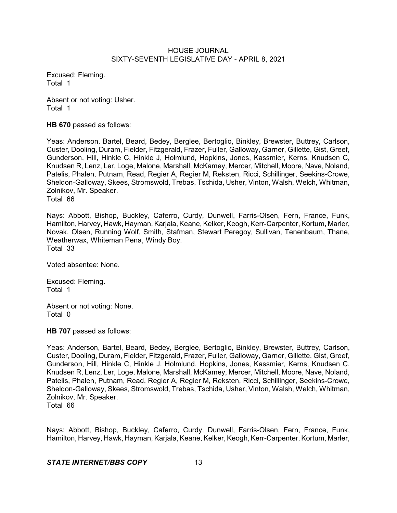Excused: Fleming. Total 1

Absent or not voting: Usher. Total 1

**HB 670** passed as follows:

Yeas: Anderson, Bartel, Beard, Bedey, Berglee, Bertoglio, Binkley, Brewster, Buttrey, Carlson, Custer, Dooling, Duram, Fielder, Fitzgerald, Frazer, Fuller, Galloway, Garner, Gillette, Gist, Greef, Gunderson, Hill, Hinkle C, Hinkle J, Holmlund, Hopkins, Jones, Kassmier, Kerns, Knudsen C, Knudsen R, Lenz, Ler, Loge, Malone, Marshall, McKamey, Mercer, Mitchell, Moore, Nave, Noland, Patelis, Phalen, Putnam, Read, Regier A, Regier M, Reksten, Ricci, Schillinger, Seekins-Crowe, Sheldon-Galloway, Skees, Stromswold, Trebas, Tschida, Usher, Vinton, Walsh, Welch, Whitman, Zolnikov, Mr. Speaker. Total 66

Nays: Abbott, Bishop, Buckley, Caferro, Curdy, Dunwell, Farris-Olsen, Fern, France, Funk, Hamilton, Harvey, Hawk, Hayman, Karjala, Keane, Kelker, Keogh, Kerr-Carpenter, Kortum, Marler, Novak, Olsen, Running Wolf, Smith, Stafman, Stewart Peregoy, Sullivan, Tenenbaum, Thane, Weatherwax, Whiteman Pena, Windy Boy. Total 33

Voted absentee: None.

Excused: Fleming. Total 1

Absent or not voting: None. Total 0

**HB 707** passed as follows:

Yeas: Anderson, Bartel, Beard, Bedey, Berglee, Bertoglio, Binkley, Brewster, Buttrey, Carlson, Custer, Dooling, Duram, Fielder, Fitzgerald, Frazer, Fuller, Galloway, Garner, Gillette, Gist, Greef, Gunderson, Hill, Hinkle C, Hinkle J, Holmlund, Hopkins, Jones, Kassmier, Kerns, Knudsen C, Knudsen R, Lenz, Ler, Loge, Malone, Marshall, McKamey, Mercer, Mitchell, Moore, Nave, Noland, Patelis, Phalen, Putnam, Read, Regier A, Regier M, Reksten, Ricci, Schillinger, Seekins-Crowe, Sheldon-Galloway, Skees, Stromswold, Trebas, Tschida, Usher, Vinton, Walsh, Welch, Whitman, Zolnikov, Mr. Speaker. Total 66

Nays: Abbott, Bishop, Buckley, Caferro, Curdy, Dunwell, Farris-Olsen, Fern, France, Funk, Hamilton, Harvey, Hawk, Hayman, Karjala, Keane, Kelker, Keogh, Kerr-Carpenter, Kortum, Marler,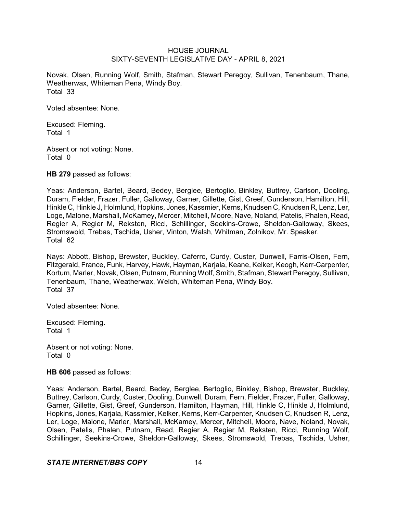Novak, Olsen, Running Wolf, Smith, Stafman, Stewart Peregoy, Sullivan, Tenenbaum, Thane, Weatherwax, Whiteman Pena, Windy Boy. Total 33

Voted absentee: None.

Excused: Fleming. Total 1

Absent or not voting: None. Total 0

**HB 279** passed as follows:

Yeas: Anderson, Bartel, Beard, Bedey, Berglee, Bertoglio, Binkley, Buttrey, Carlson, Dooling, Duram, Fielder, Frazer, Fuller, Galloway, Garner, Gillette, Gist, Greef, Gunderson, Hamilton, Hill, Hinkle C, Hinkle J, Holmlund, Hopkins, Jones, Kassmier, Kerns, Knudsen C, Knudsen R, Lenz, Ler, Loge, Malone, Marshall, McKamey, Mercer, Mitchell, Moore, Nave, Noland, Patelis, Phalen, Read, Regier A, Regier M, Reksten, Ricci, Schillinger, Seekins-Crowe, Sheldon-Galloway, Skees, Stromswold, Trebas, Tschida, Usher, Vinton, Walsh, Whitman, Zolnikov, Mr. Speaker. Total 62

Nays: Abbott, Bishop, Brewster, Buckley, Caferro, Curdy, Custer, Dunwell, Farris-Olsen, Fern, Fitzgerald, France, Funk, Harvey, Hawk, Hayman, Karjala, Keane, Kelker, Keogh, Kerr-Carpenter, Kortum, Marler, Novak, Olsen, Putnam, Running Wolf, Smith, Stafman, Stewart Peregoy, Sullivan, Tenenbaum, Thane, Weatherwax, Welch, Whiteman Pena, Windy Boy. Total 37

Voted absentee: None.

Excused: Fleming. Total 1

Absent or not voting: None. Total 0

**HB 606** passed as follows:

Yeas: Anderson, Bartel, Beard, Bedey, Berglee, Bertoglio, Binkley, Bishop, Brewster, Buckley, Buttrey, Carlson, Curdy, Custer, Dooling, Dunwell, Duram, Fern, Fielder, Frazer, Fuller, Galloway, Garner, Gillette, Gist, Greef, Gunderson, Hamilton, Hayman, Hill, Hinkle C, Hinkle J, Holmlund, Hopkins, Jones, Karjala, Kassmier, Kelker, Kerns, Kerr-Carpenter, Knudsen C, Knudsen R, Lenz, Ler, Loge, Malone, Marler, Marshall, McKamey, Mercer, Mitchell, Moore, Nave, Noland, Novak, Olsen, Patelis, Phalen, Putnam, Read, Regier A, Regier M, Reksten, Ricci, Running Wolf, Schillinger, Seekins-Crowe, Sheldon-Galloway, Skees, Stromswold, Trebas, Tschida, Usher,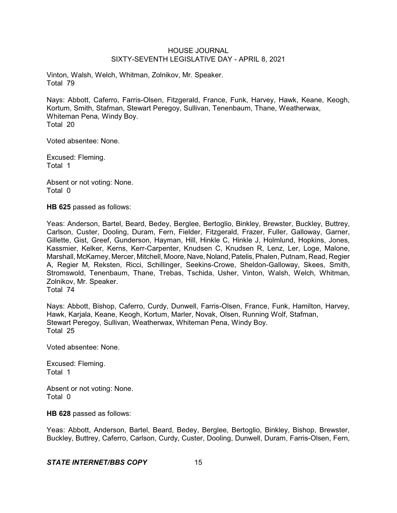Vinton, Walsh, Welch, Whitman, Zolnikov, Mr. Speaker. Total 79

Nays: Abbott, Caferro, Farris-Olsen, Fitzgerald, France, Funk, Harvey, Hawk, Keane, Keogh, Kortum, Smith, Stafman, Stewart Peregoy, Sullivan, Tenenbaum, Thane, Weatherwax, Whiteman Pena, Windy Boy. Total 20

Voted absentee: None.

Excused: Fleming. Total 1

Absent or not voting: None. Total 0

**HB 625** passed as follows:

Yeas: Anderson, Bartel, Beard, Bedey, Berglee, Bertoglio, Binkley, Brewster, Buckley, Buttrey, Carlson, Custer, Dooling, Duram, Fern, Fielder, Fitzgerald, Frazer, Fuller, Galloway, Garner, Gillette, Gist, Greef, Gunderson, Hayman, Hill, Hinkle C, Hinkle J, Holmlund, Hopkins, Jones, Kassmier, Kelker, Kerns, Kerr-Carpenter, Knudsen C, Knudsen R, Lenz, Ler, Loge, Malone, Marshall, McKamey, Mercer, Mitchell, Moore, Nave, Noland,Patelis,Phalen, Putnam, Read, Regier A, Regier M, Reksten, Ricci, Schillinger, Seekins-Crowe, Sheldon-Galloway, Skees, Smith, Stromswold, Tenenbaum, Thane, Trebas, Tschida, Usher, Vinton, Walsh, Welch, Whitman, Zolnikov, Mr. Speaker. Total 74

Nays: Abbott, Bishop, Caferro, Curdy, Dunwell, Farris-Olsen, France, Funk, Hamilton, Harvey, Hawk, Karjala, Keane, Keogh, Kortum, Marler, Novak, Olsen, Running Wolf, Stafman, Stewart Peregoy, Sullivan, Weatherwax, Whiteman Pena, Windy Boy. Total 25

Voted absentee: None.

Excused: Fleming. Total 1

Absent or not voting: None. Total 0

**HB 628** passed as follows:

Yeas: Abbott, Anderson, Bartel, Beard, Bedey, Berglee, Bertoglio, Binkley, Bishop, Brewster, Buckley, Buttrey, Caferro, Carlson, Curdy, Custer, Dooling, Dunwell, Duram, Farris-Olsen, Fern,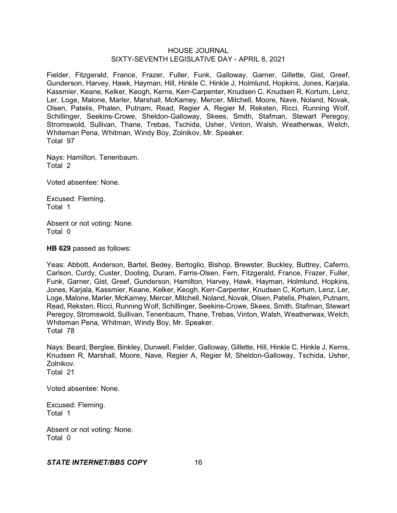Fielder, Fitzgerald, France, Frazer, Fuller, Funk, Galloway, Garner, Gillette, Gist, Greef, Gunderson, Harvey, Hawk, Hayman, Hill, Hinkle C, Hinkle J, Holmlund, Hopkins, Jones, Karjala, Kassmier, Keane, Kelker, Keogh, Kerns, Kerr-Carpenter, Knudsen C, Knudsen R, Kortum, Lenz, Ler, Loge, Malone, Marler, Marshall, McKamey, Mercer, Mitchell, Moore, Nave, Noland, Novak, Olsen, Patelis, Phalen, Putnam, Read, Regier A, Regier M, Reksten, Ricci, Running Wolf, Schillinger, Seekins-Crowe, Sheldon-Galloway, Skees, Smith, Stafman, Stewart Peregoy, Stromswold, Sullivan, Thane, Trebas, Tschida, Usher, Vinton, Walsh, Weatherwax, Welch, Whiteman Pena, Whitman, Windy Boy, Zolnikov, Mr. Speaker. Total 97

Nays: Hamilton, Tenenbaum. Total 2

Voted absentee: None.

Excused: Fleming. Total 1

Absent or not voting: None. Total 0

**HB 629** passed as follows:

Yeas: Abbott, Anderson, Bartel, Bedey, Bertoglio, Bishop, Brewster, Buckley, Buttrey, Caferro, Carlson, Curdy, Custer, Dooling, Duram, Farris-Olsen, Fern, Fitzgerald, France, Frazer, Fuller, Funk, Garner, Gist, Greef, Gunderson, Hamilton, Harvey, Hawk, Hayman, Holmlund, Hopkins, Jones, Karjala, Kassmier, Keane, Kelker, Keogh, Kerr-Carpenter, Knudsen C, Kortum, Lenz, Ler, Loge, Malone, Marler, McKamey, Mercer, Mitchell, Noland, Novak, Olsen, Patelis, Phalen, Putnam, Read, Reksten, Ricci, Running Wolf, Schillinger, Seekins-Crowe, Skees, Smith, Stafman, Stewart Peregoy, Stromswold, Sullivan, Tenenbaum, Thane, Trebas, Vinton, Walsh, Weatherwax, Welch, Whiteman Pena, Whitman, Windy Boy, Mr. Speaker. Total 78

Nays: Beard, Berglee, Binkley, Dunwell, Fielder, Galloway, Gillette, Hill, Hinkle C, Hinkle J, Kerns, Knudsen R, Marshall, Moore, Nave, Regier A, Regier M, Sheldon-Galloway, Tschida, Usher, Zolnikov. Total 21

Voted absentee: None.

Excused: Fleming. Total 1

Absent or not voting: None. Total 0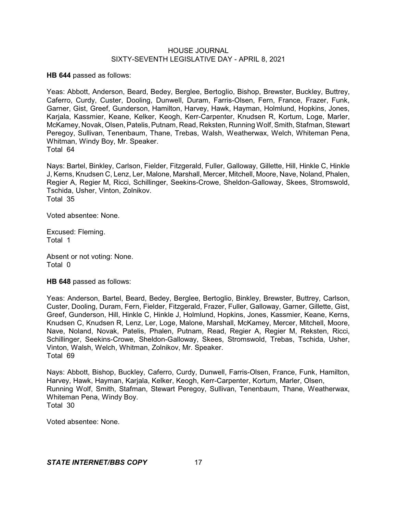**HB 644** passed as follows:

Yeas: Abbott, Anderson, Beard, Bedey, Berglee, Bertoglio, Bishop, Brewster, Buckley, Buttrey, Caferro, Curdy, Custer, Dooling, Dunwell, Duram, Farris-Olsen, Fern, France, Frazer, Funk, Garner, Gist, Greef, Gunderson, Hamilton, Harvey, Hawk, Hayman, Holmlund, Hopkins, Jones, Karjala, Kassmier, Keane, Kelker, Keogh, Kerr-Carpenter, Knudsen R, Kortum, Loge, Marler, McKamey, Novak, Olsen, Patelis, Putnam, Read, Reksten, Running Wolf, Smith, Stafman, Stewart Peregoy, Sullivan, Tenenbaum, Thane, Trebas, Walsh, Weatherwax, Welch, Whiteman Pena, Whitman, Windy Boy, Mr. Speaker. Total 64

Nays: Bartel, Binkley, Carlson, Fielder, Fitzgerald, Fuller, Galloway, Gillette, Hill, Hinkle C, Hinkle J, Kerns, Knudsen C, Lenz, Ler, Malone, Marshall, Mercer, Mitchell, Moore, Nave, Noland, Phalen, Regier A, Regier M, Ricci, Schillinger, Seekins-Crowe, Sheldon-Galloway, Skees, Stromswold, Tschida, Usher, Vinton, Zolnikov. Total 35

Voted absentee: None.

Excused: Fleming. Total 1

Absent or not voting: None. Total 0

**HB 648** passed as follows:

Yeas: Anderson, Bartel, Beard, Bedey, Berglee, Bertoglio, Binkley, Brewster, Buttrey, Carlson, Custer, Dooling, Duram, Fern, Fielder, Fitzgerald, Frazer, Fuller, Galloway, Garner, Gillette, Gist, Greef, Gunderson, Hill, Hinkle C, Hinkle J, Holmlund, Hopkins, Jones, Kassmier, Keane, Kerns, Knudsen C, Knudsen R, Lenz, Ler, Loge, Malone, Marshall, McKamey, Mercer, Mitchell, Moore, Nave, Noland, Novak, Patelis, Phalen, Putnam, Read, Regier A, Regier M, Reksten, Ricci, Schillinger, Seekins-Crowe, Sheldon-Galloway, Skees, Stromswold, Trebas, Tschida, Usher, Vinton, Walsh, Welch, Whitman, Zolnikov, Mr. Speaker. Total 69

Nays: Abbott, Bishop, Buckley, Caferro, Curdy, Dunwell, Farris-Olsen, France, Funk, Hamilton, Harvey, Hawk, Hayman, Karjala, Kelker, Keogh, Kerr-Carpenter, Kortum, Marler, Olsen, Running Wolf, Smith, Stafman, Stewart Peregoy, Sullivan, Tenenbaum, Thane, Weatherwax, Whiteman Pena, Windy Boy. Total 30

Voted absentee: None.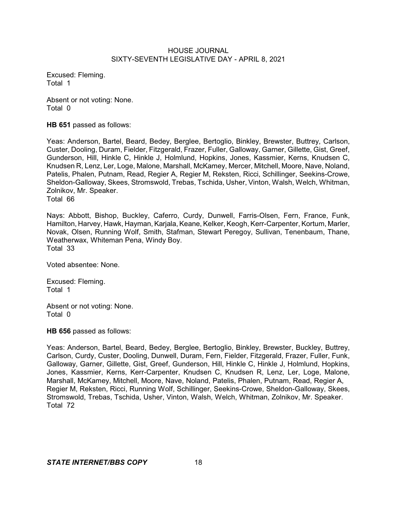Excused: Fleming. Total 1

Absent or not voting: None. Total 0

**HB 651** passed as follows:

Yeas: Anderson, Bartel, Beard, Bedey, Berglee, Bertoglio, Binkley, Brewster, Buttrey, Carlson, Custer, Dooling, Duram, Fielder, Fitzgerald, Frazer, Fuller, Galloway, Garner, Gillette, Gist, Greef, Gunderson, Hill, Hinkle C, Hinkle J, Holmlund, Hopkins, Jones, Kassmier, Kerns, Knudsen C, Knudsen R, Lenz, Ler, Loge, Malone, Marshall, McKamey, Mercer, Mitchell, Moore, Nave, Noland, Patelis, Phalen, Putnam, Read, Regier A, Regier M, Reksten, Ricci, Schillinger, Seekins-Crowe, Sheldon-Galloway, Skees, Stromswold, Trebas, Tschida, Usher, Vinton, Walsh, Welch, Whitman, Zolnikov, Mr. Speaker. Total 66

Nays: Abbott, Bishop, Buckley, Caferro, Curdy, Dunwell, Farris-Olsen, Fern, France, Funk, Hamilton, Harvey, Hawk, Hayman, Karjala, Keane, Kelker, Keogh, Kerr-Carpenter, Kortum, Marler, Novak, Olsen, Running Wolf, Smith, Stafman, Stewart Peregoy, Sullivan, Tenenbaum, Thane, Weatherwax, Whiteman Pena, Windy Boy. Total 33

Voted absentee: None.

Excused: Fleming. Total 1

Absent or not voting: None. Total 0

**HB 656** passed as follows:

Yeas: Anderson, Bartel, Beard, Bedey, Berglee, Bertoglio, Binkley, Brewster, Buckley, Buttrey, Carlson, Curdy, Custer, Dooling, Dunwell, Duram, Fern, Fielder, Fitzgerald, Frazer, Fuller, Funk, Galloway, Garner, Gillette, Gist, Greef, Gunderson, Hill, Hinkle C, Hinkle J, Holmlund, Hopkins, Jones, Kassmier, Kerns, Kerr-Carpenter, Knudsen C, Knudsen R, Lenz, Ler, Loge, Malone, Marshall, McKamey, Mitchell, Moore, Nave, Noland, Patelis, Phalen, Putnam, Read, Regier A, Regier M, Reksten, Ricci, Running Wolf, Schillinger, Seekins-Crowe, Sheldon-Galloway, Skees, Stromswold, Trebas, Tschida, Usher, Vinton, Walsh, Welch, Whitman, Zolnikov, Mr. Speaker. Total 72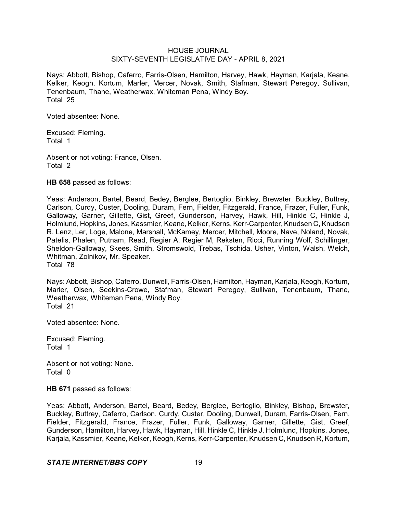Nays: Abbott, Bishop, Caferro, Farris-Olsen, Hamilton, Harvey, Hawk, Hayman, Karjala, Keane, Kelker, Keogh, Kortum, Marler, Mercer, Novak, Smith, Stafman, Stewart Peregoy, Sullivan, Tenenbaum, Thane, Weatherwax, Whiteman Pena, Windy Boy. Total 25

Voted absentee: None.

Excused: Fleming. Total 1

Absent or not voting: France, Olsen. Total 2

**HB 658** passed as follows:

Yeas: Anderson, Bartel, Beard, Bedey, Berglee, Bertoglio, Binkley, Brewster, Buckley, Buttrey, Carlson, Curdy, Custer, Dooling, Duram, Fern, Fielder, Fitzgerald, France, Frazer, Fuller, Funk, Galloway, Garner, Gillette, Gist, Greef, Gunderson, Harvey, Hawk, Hill, Hinkle C, Hinkle J, Holmlund, Hopkins, Jones, Kassmier, Keane, Kelker, Kerns, Kerr-Carpenter,Knudsen C, Knudsen R, Lenz, Ler, Loge, Malone, Marshall, McKamey, Mercer, Mitchell, Moore, Nave, Noland, Novak, Patelis, Phalen, Putnam, Read, Regier A, Regier M, Reksten, Ricci, Running Wolf, Schillinger, Sheldon-Galloway, Skees, Smith, Stromswold, Trebas, Tschida, Usher, Vinton, Walsh, Welch, Whitman, Zolnikov, Mr. Speaker. Total 78

Nays: Abbott, Bishop, Caferro, Dunwell, Farris-Olsen, Hamilton, Hayman, Karjala, Keogh, Kortum, Marler, Olsen, Seekins-Crowe, Stafman, Stewart Peregoy, Sullivan, Tenenbaum, Thane, Weatherwax, Whiteman Pena, Windy Boy. Total 21

Voted absentee: None.

Excused: Fleming. Total 1

Absent or not voting: None. Total 0

**HB 671** passed as follows:

Yeas: Abbott, Anderson, Bartel, Beard, Bedey, Berglee, Bertoglio, Binkley, Bishop, Brewster, Buckley, Buttrey, Caferro, Carlson, Curdy, Custer, Dooling, Dunwell, Duram, Farris-Olsen, Fern, Fielder, Fitzgerald, France, Frazer, Fuller, Funk, Galloway, Garner, Gillette, Gist, Greef, Gunderson, Hamilton, Harvey, Hawk, Hayman, Hill, Hinkle C, Hinkle J, Holmlund, Hopkins, Jones, Karjala, Kassmier, Keane, Kelker, Keogh, Kerns, Kerr-Carpenter, Knudsen C, Knudsen R, Kortum,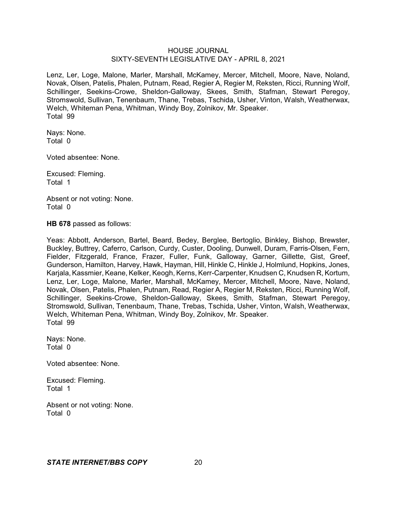Lenz, Ler, Loge, Malone, Marler, Marshall, McKamey, Mercer, Mitchell, Moore, Nave, Noland, Novak, Olsen, Patelis, Phalen, Putnam, Read, Regier A, Regier M, Reksten, Ricci, Running Wolf, Schillinger, Seekins-Crowe, Sheldon-Galloway, Skees, Smith, Stafman, Stewart Peregoy, Stromswold, Sullivan, Tenenbaum, Thane, Trebas, Tschida, Usher, Vinton, Walsh, Weatherwax, Welch, Whiteman Pena, Whitman, Windy Boy, Zolnikov, Mr. Speaker. Total 99

Nays: None. Total 0

Voted absentee: None.

Excused: Fleming. Total 1

Absent or not voting: None. Total 0

**HB 678** passed as follows:

Yeas: Abbott, Anderson, Bartel, Beard, Bedey, Berglee, Bertoglio, Binkley, Bishop, Brewster, Buckley, Buttrey, Caferro, Carlson, Curdy, Custer, Dooling, Dunwell, Duram, Farris-Olsen, Fern, Fielder, Fitzgerald, France, Frazer, Fuller, Funk, Galloway, Garner, Gillette, Gist, Greef, Gunderson, Hamilton, Harvey, Hawk, Hayman, Hill, Hinkle C, Hinkle J, Holmlund, Hopkins, Jones, Karjala, Kassmier, Keane, Kelker, Keogh, Kerns, Kerr-Carpenter, Knudsen C, Knudsen R, Kortum, Lenz, Ler, Loge, Malone, Marler, Marshall, McKamey, Mercer, Mitchell, Moore, Nave, Noland, Novak, Olsen, Patelis, Phalen, Putnam, Read, Regier A, Regier M, Reksten, Ricci, Running Wolf, Schillinger, Seekins-Crowe, Sheldon-Galloway, Skees, Smith, Stafman, Stewart Peregoy, Stromswold, Sullivan, Tenenbaum, Thane, Trebas, Tschida, Usher, Vinton, Walsh, Weatherwax, Welch, Whiteman Pena, Whitman, Windy Boy, Zolnikov, Mr. Speaker. Total 99

Nays: None. Total 0

Voted absentee: None.

Excused: Fleming. Total 1

Absent or not voting: None. Total 0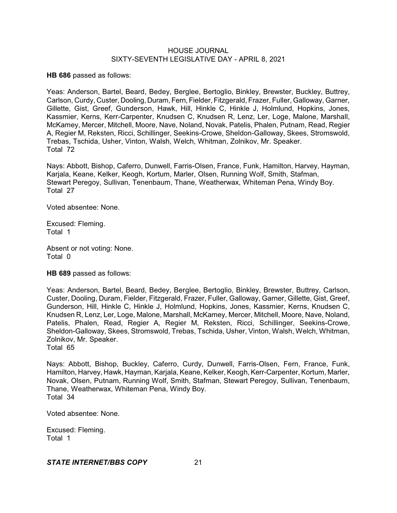**HB 686** passed as follows:

Yeas: Anderson, Bartel, Beard, Bedey, Berglee, Bertoglio, Binkley, Brewster, Buckley, Buttrey, Carlson, Curdy, Custer, Dooling, Duram, Fern, Fielder, Fitzgerald, Frazer, Fuller, Galloway, Garner, Gillette, Gist, Greef, Gunderson, Hawk, Hill, Hinkle C, Hinkle J, Holmlund, Hopkins, Jones, Kassmier, Kerns, Kerr-Carpenter, Knudsen C, Knudsen R, Lenz, Ler, Loge, Malone, Marshall, McKamey, Mercer, Mitchell, Moore, Nave, Noland, Novak, Patelis, Phalen, Putnam, Read, Regier A, Regier M, Reksten, Ricci, Schillinger, Seekins-Crowe, Sheldon-Galloway, Skees, Stromswold, Trebas, Tschida, Usher, Vinton, Walsh, Welch, Whitman, Zolnikov, Mr. Speaker. Total 72

Nays: Abbott, Bishop, Caferro, Dunwell, Farris-Olsen, France, Funk, Hamilton, Harvey, Hayman, Karjala, Keane, Kelker, Keogh, Kortum, Marler, Olsen, Running Wolf, Smith, Stafman, Stewart Peregoy, Sullivan, Tenenbaum, Thane, Weatherwax, Whiteman Pena, Windy Boy. Total 27

Voted absentee: None.

Excused: Fleming. Total 1

Absent or not voting: None. Total 0

**HB 689** passed as follows:

Yeas: Anderson, Bartel, Beard, Bedey, Berglee, Bertoglio, Binkley, Brewster, Buttrey, Carlson, Custer, Dooling, Duram, Fielder, Fitzgerald, Frazer, Fuller, Galloway, Garner, Gillette, Gist, Greef, Gunderson, Hill, Hinkle C, Hinkle J, Holmlund, Hopkins, Jones, Kassmier, Kerns, Knudsen C, Knudsen R, Lenz, Ler, Loge, Malone, Marshall, McKamey, Mercer, Mitchell, Moore, Nave, Noland, Patelis, Phalen, Read, Regier A, Regier M, Reksten, Ricci, Schillinger, Seekins-Crowe, Sheldon-Galloway, Skees, Stromswold, Trebas, Tschida, Usher, Vinton, Walsh, Welch, Whitman, Zolnikov, Mr. Speaker.

Total 65

Nays: Abbott, Bishop, Buckley, Caferro, Curdy, Dunwell, Farris-Olsen, Fern, France, Funk, Hamilton, Harvey, Hawk, Hayman, Karjala, Keane, Kelker, Keogh, Kerr-Carpenter, Kortum, Marler, Novak, Olsen, Putnam, Running Wolf, Smith, Stafman, Stewart Peregoy, Sullivan, Tenenbaum, Thane, Weatherwax, Whiteman Pena, Windy Boy. Total 34

Voted absentee: None.

Excused: Fleming. Total 1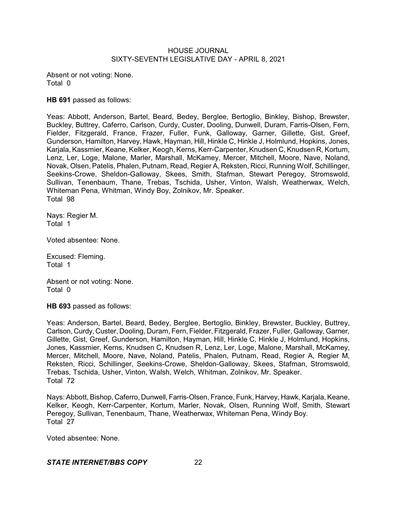Absent or not voting: None. Total 0

**HB 691** passed as follows:

Yeas: Abbott, Anderson, Bartel, Beard, Bedey, Berglee, Bertoglio, Binkley, Bishop, Brewster, Buckley, Buttrey, Caferro, Carlson, Curdy, Custer, Dooling, Dunwell, Duram, Farris-Olsen, Fern, Fielder, Fitzgerald, France, Frazer, Fuller, Funk, Galloway, Garner, Gillette, Gist, Greef, Gunderson, Hamilton, Harvey, Hawk, Hayman, Hill, Hinkle C, Hinkle J, Holmlund, Hopkins, Jones, Karjala, Kassmier, Keane, Kelker, Keogh, Kerns, Kerr-Carpenter, Knudsen C, Knudsen R, Kortum, Lenz, Ler, Loge, Malone, Marler, Marshall, McKamey, Mercer, Mitchell, Moore, Nave, Noland, Novak, Olsen, Patelis, Phalen, Putnam, Read, Regier A, Reksten, Ricci, Running Wolf, Schillinger, Seekins-Crowe, Sheldon-Galloway, Skees, Smith, Stafman, Stewart Peregoy, Stromswold, Sullivan, Tenenbaum, Thane, Trebas, Tschida, Usher, Vinton, Walsh, Weatherwax, Welch, Whiteman Pena, Whitman, Windy Boy, Zolnikov, Mr. Speaker. Total 98

Nays: Regier M. Total 1

Voted absentee: None.

Excused: Fleming. Total 1

Absent or not voting: None. Total 0

**HB 693** passed as follows:

Yeas: Anderson, Bartel, Beard, Bedey, Berglee, Bertoglio, Binkley, Brewster, Buckley, Buttrey, Carlson, Curdy, Custer, Dooling, Duram, Fern, Fielder, Fitzgerald, Frazer, Fuller, Galloway, Garner, Gillette, Gist, Greef, Gunderson, Hamilton, Hayman, Hill, Hinkle C, Hinkle J, Holmlund, Hopkins, Jones, Kassmier, Kerns, Knudsen C, Knudsen R, Lenz, Ler, Loge, Malone, Marshall, McKamey, Mercer, Mitchell, Moore, Nave, Noland, Patelis, Phalen, Putnam, Read, Regier A, Regier M, Reksten, Ricci, Schillinger, Seekins-Crowe, Sheldon-Galloway, Skees, Stafman, Stromswold, Trebas, Tschida, Usher, Vinton, Walsh, Welch, Whitman, Zolnikov, Mr. Speaker. Total 72

Nays: Abbott, Bishop, Caferro, Dunwell, Farris-Olsen, France, Funk, Harvey, Hawk, Karjala, Keane, Kelker, Keogh, Kerr-Carpenter, Kortum, Marler, Novak, Olsen, Running Wolf, Smith, Stewart Peregoy, Sullivan, Tenenbaum, Thane, Weatherwax, Whiteman Pena, Windy Boy. Total 27

Voted absentee: None.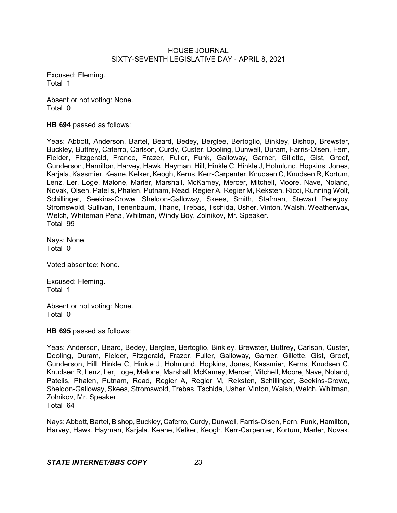Excused: Fleming. Total 1

Absent or not voting: None. Total 0

**HB 694** passed as follows:

Yeas: Abbott, Anderson, Bartel, Beard, Bedey, Berglee, Bertoglio, Binkley, Bishop, Brewster, Buckley, Buttrey, Caferro, Carlson, Curdy, Custer, Dooling, Dunwell, Duram, Farris-Olsen, Fern, Fielder, Fitzgerald, France, Frazer, Fuller, Funk, Galloway, Garner, Gillette, Gist, Greef, Gunderson, Hamilton, Harvey, Hawk, Hayman, Hill, Hinkle C, Hinkle J, Holmlund, Hopkins, Jones, Karjala, Kassmier, Keane, Kelker, Keogh, Kerns, Kerr-Carpenter, Knudsen C, Knudsen R, Kortum, Lenz, Ler, Loge, Malone, Marler, Marshall, McKamey, Mercer, Mitchell, Moore, Nave, Noland, Novak, Olsen, Patelis, Phalen, Putnam, Read, Regier A, Regier M, Reksten, Ricci, Running Wolf, Schillinger, Seekins-Crowe, Sheldon-Galloway, Skees, Smith, Stafman, Stewart Peregoy, Stromswold, Sullivan, Tenenbaum, Thane, Trebas, Tschida, Usher, Vinton, Walsh, Weatherwax, Welch, Whiteman Pena, Whitman, Windy Boy, Zolnikov, Mr. Speaker. Total 99

Nays: None. Total 0

Voted absentee: None.

Excused: Fleming. Total 1

Absent or not voting: None. Total 0

**HB 695** passed as follows:

Yeas: Anderson, Beard, Bedey, Berglee, Bertoglio, Binkley, Brewster, Buttrey, Carlson, Custer, Dooling, Duram, Fielder, Fitzgerald, Frazer, Fuller, Galloway, Garner, Gillette, Gist, Greef, Gunderson, Hill, Hinkle C, Hinkle J, Holmlund, Hopkins, Jones, Kassmier, Kerns, Knudsen C, Knudsen R, Lenz, Ler, Loge, Malone, Marshall, McKamey, Mercer, Mitchell, Moore, Nave, Noland, Patelis, Phalen, Putnam, Read, Regier A, Regier M, Reksten, Schillinger, Seekins-Crowe, Sheldon-Galloway, Skees, Stromswold, Trebas, Tschida, Usher, Vinton, Walsh, Welch, Whitman, Zolnikov, Mr. Speaker. Total 64

Nays: Abbott, Bartel, Bishop, Buckley, Caferro, Curdy, Dunwell, Farris-Olsen, Fern, Funk, Hamilton, Harvey, Hawk, Hayman, Karjala, Keane, Kelker, Keogh, Kerr-Carpenter, Kortum, Marler, Novak,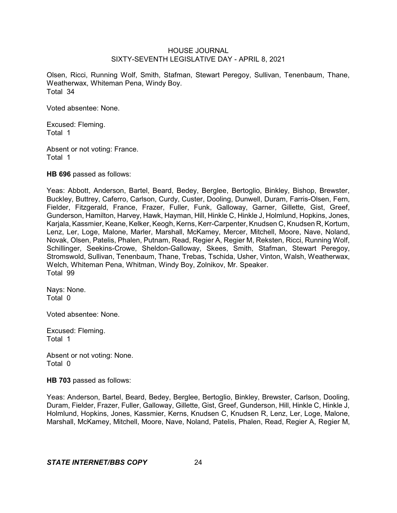Olsen, Ricci, Running Wolf, Smith, Stafman, Stewart Peregoy, Sullivan, Tenenbaum, Thane, Weatherwax, Whiteman Pena, Windy Boy. Total 34

Voted absentee: None.

Excused: Fleming. Total 1

Absent or not voting: France. Total 1

**HB 696** passed as follows:

Yeas: Abbott, Anderson, Bartel, Beard, Bedey, Berglee, Bertoglio, Binkley, Bishop, Brewster, Buckley, Buttrey, Caferro, Carlson, Curdy, Custer, Dooling, Dunwell, Duram, Farris-Olsen, Fern, Fielder, Fitzgerald, France, Frazer, Fuller, Funk, Galloway, Garner, Gillette, Gist, Greef, Gunderson, Hamilton, Harvey, Hawk, Hayman, Hill, Hinkle C, Hinkle J, Holmlund, Hopkins, Jones, Karjala, Kassmier, Keane, Kelker, Keogh, Kerns, Kerr-Carpenter, Knudsen C, Knudsen R, Kortum, Lenz, Ler, Loge, Malone, Marler, Marshall, McKamey, Mercer, Mitchell, Moore, Nave, Noland, Novak, Olsen, Patelis, Phalen, Putnam, Read, Regier A, Regier M, Reksten, Ricci, Running Wolf, Schillinger, Seekins-Crowe, Sheldon-Galloway, Skees, Smith, Stafman, Stewart Peregoy, Stromswold, Sullivan, Tenenbaum, Thane, Trebas, Tschida, Usher, Vinton, Walsh, Weatherwax, Welch, Whiteman Pena, Whitman, Windy Boy, Zolnikov, Mr. Speaker. Total 99

Nays: None. Total 0

Voted absentee: None.

Excused: Fleming. Total 1

Absent or not voting: None. Total 0

**HB 703** passed as follows:

Yeas: Anderson, Bartel, Beard, Bedey, Berglee, Bertoglio, Binkley, Brewster, Carlson, Dooling, Duram, Fielder, Frazer, Fuller, Galloway, Gillette, Gist, Greef, Gunderson, Hill, Hinkle C, Hinkle J, Holmlund, Hopkins, Jones, Kassmier, Kerns, Knudsen C, Knudsen R, Lenz, Ler, Loge, Malone, Marshall, McKamey, Mitchell, Moore, Nave, Noland, Patelis, Phalen, Read, Regier A, Regier M,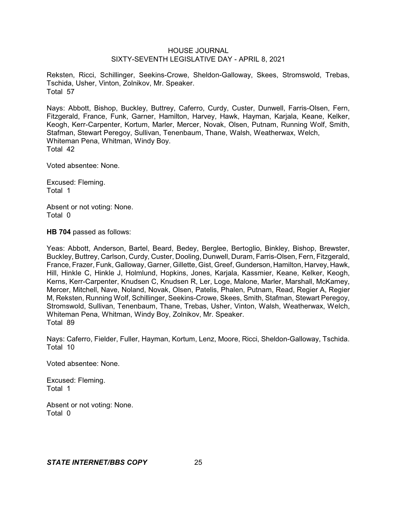Reksten, Ricci, Schillinger, Seekins-Crowe, Sheldon-Galloway, Skees, Stromswold, Trebas, Tschida, Usher, Vinton, Zolnikov, Mr. Speaker. Total 57

Nays: Abbott, Bishop, Buckley, Buttrey, Caferro, Curdy, Custer, Dunwell, Farris-Olsen, Fern, Fitzgerald, France, Funk, Garner, Hamilton, Harvey, Hawk, Hayman, Karjala, Keane, Kelker, Keogh, Kerr-Carpenter, Kortum, Marler, Mercer, Novak, Olsen, Putnam, Running Wolf, Smith, Stafman, Stewart Peregoy, Sullivan, Tenenbaum, Thane, Walsh, Weatherwax, Welch, Whiteman Pena, Whitman, Windy Boy. Total 42

Voted absentee: None.

Excused: Fleming. Total 1

Absent or not voting: None. Total 0

**HB 704** passed as follows:

Yeas: Abbott, Anderson, Bartel, Beard, Bedey, Berglee, Bertoglio, Binkley, Bishop, Brewster, Buckley, Buttrey, Carlson, Curdy, Custer, Dooling, Dunwell, Duram, Farris-Olsen, Fern, Fitzgerald, France, Frazer, Funk, Galloway, Garner, Gillette, Gist, Greef, Gunderson, Hamilton, Harvey, Hawk, Hill, Hinkle C, Hinkle J, Holmlund, Hopkins, Jones, Karjala, Kassmier, Keane, Kelker, Keogh, Kerns, Kerr-Carpenter, Knudsen C, Knudsen R, Ler, Loge, Malone, Marler, Marshall, McKamey, Mercer, Mitchell, Nave, Noland, Novak, Olsen, Patelis, Phalen, Putnam, Read, Regier A, Regier M, Reksten, Running Wolf, Schillinger, Seekins-Crowe, Skees, Smith, Stafman, Stewart Peregoy, Stromswold, Sullivan, Tenenbaum, Thane, Trebas, Usher, Vinton, Walsh, Weatherwax, Welch, Whiteman Pena, Whitman, Windy Boy, Zolnikov, Mr. Speaker. Total 89

Nays: Caferro, Fielder, Fuller, Hayman, Kortum, Lenz, Moore, Ricci, Sheldon-Galloway, Tschida. Total 10

Voted absentee: None.

Excused: Fleming. Total 1

Absent or not voting: None. Total 0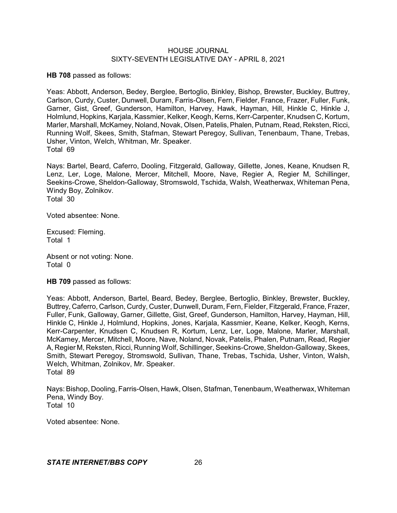**HB 708** passed as follows:

Yeas: Abbott, Anderson, Bedey, Berglee, Bertoglio, Binkley, Bishop, Brewster, Buckley, Buttrey, Carlson, Curdy, Custer, Dunwell, Duram, Farris-Olsen, Fern, Fielder, France, Frazer, Fuller, Funk, Garner, Gist, Greef, Gunderson, Hamilton, Harvey, Hawk, Hayman, Hill, Hinkle C, Hinkle J, Holmlund, Hopkins, Karjala, Kassmier, Kelker, Keogh, Kerns, Kerr-Carpenter, Knudsen C, Kortum, Marler, Marshall, McKamey, Noland, Novak, Olsen, Patelis, Phalen, Putnam, Read, Reksten, Ricci, Running Wolf, Skees, Smith, Stafman, Stewart Peregoy, Sullivan, Tenenbaum, Thane, Trebas, Usher, Vinton, Welch, Whitman, Mr. Speaker. Total 69

Nays: Bartel, Beard, Caferro, Dooling, Fitzgerald, Galloway, Gillette, Jones, Keane, Knudsen R, Lenz, Ler, Loge, Malone, Mercer, Mitchell, Moore, Nave, Regier A, Regier M, Schillinger, Seekins-Crowe, Sheldon-Galloway, Stromswold, Tschida, Walsh, Weatherwax, Whiteman Pena, Windy Boy, Zolnikov. Total 30

Voted absentee: None.

Excused: Fleming. Total 1

Absent or not voting: None. Total 0

**HB 709** passed as follows:

Yeas: Abbott, Anderson, Bartel, Beard, Bedey, Berglee, Bertoglio, Binkley, Brewster, Buckley, Buttrey, Caferro, Carlson, Curdy, Custer, Dunwell, Duram, Fern, Fielder, Fitzgerald, France, Frazer, Fuller, Funk, Galloway, Garner, Gillette, Gist, Greef, Gunderson, Hamilton, Harvey, Hayman, Hill, Hinkle C, Hinkle J, Holmlund, Hopkins, Jones, Karjala, Kassmier, Keane, Kelker, Keogh, Kerns, Kerr-Carpenter, Knudsen C, Knudsen R, Kortum, Lenz, Ler, Loge, Malone, Marler, Marshall, McKamey, Mercer, Mitchell, Moore, Nave, Noland, Novak, Patelis, Phalen, Putnam, Read, Regier A, Regier M, Reksten, Ricci, Running Wolf, Schillinger, Seekins-Crowe,Sheldon-Galloway, Skees, Smith, Stewart Peregoy, Stromswold, Sullivan, Thane, Trebas, Tschida, Usher, Vinton, Walsh, Welch, Whitman, Zolnikov, Mr. Speaker. Total 89

Nays: Bishop, Dooling, Farris-Olsen, Hawk, Olsen, Stafman, Tenenbaum, Weatherwax, Whiteman Pena, Windy Boy. Total 10

Voted absentee: None.